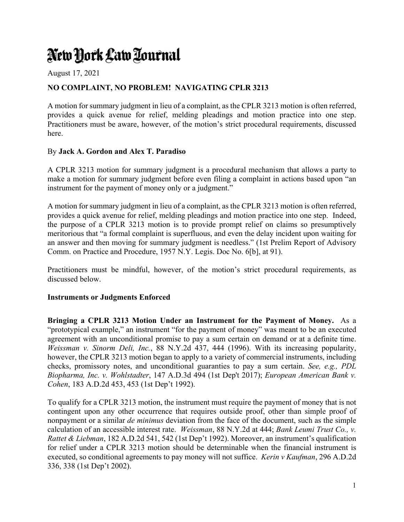# New York Law Tournal

August 17, 2021

## **NO COMPLAINT, NO PROBLEM! NAVIGATING CPLR 3213**

A motion for summary judgment in lieu of a complaint, as the CPLR 3213 motion is often referred, provides a quick avenue for relief, melding pleadings and motion practice into one step. Practitioners must be aware, however, of the motion's strict procedural requirements, discussed here.

### By **Jack A. Gordon and Alex T. Paradiso**

A CPLR 3213 motion for summary judgment is a procedural mechanism that allows a party to make a motion for summary judgment before even filing a complaint in actions based upon "an instrument for the payment of money only or a judgment."

A motion for summary judgment in lieu of a complaint, as the CPLR 3213 motion is often referred, provides a quick avenue for relief, melding pleadings and motion practice into one step. Indeed, the purpose of a CPLR 3213 motion is to provide prompt relief on claims so presumptively meritorious that "a formal complaint is superfluous, and even the delay incident upon waiting for an answer and then moving for summary judgment is needless." (1st Prelim Report of Advisory Comm. on Practice and Procedure, 1957 N.Y. Legis. Doc No. 6[b], at 91).

Practitioners must be mindful, however, of the motion's strict procedural requirements, as discussed below.

### **Instruments or Judgments Enforced**

**Bringing a CPLR 3213 Motion Under an Instrument for the Payment of Money.** As a "prototypical example," an instrument "for the payment of money" was meant to be an executed agreement with an unconditional promise to pay a sum certain on demand or at a definite time. *Weissman v. Sinorm Deli, Inc.*, 88 N.Y.2d 437, 444 (1996). With its increasing popularity, however, the CPLR 3213 motion began to apply to a variety of commercial instruments, including checks, promissory notes, and unconditional guaranties to pay a sum certain. *See, e.g., PDL Biopharma, Inc. v. Wohlstadter*, 147 A.D.3d 494 (1st Dep't 2017); *European American Bank v. Cohen*, 183 A.D.2d 453, 453 (1st Dep't 1992).

To qualify for a CPLR 3213 motion, the instrument must require the payment of money that is not contingent upon any other occurrence that requires outside proof, other than simple proof of nonpayment or a similar *de minimus* deviation from the face of the document, such as the simple calculation of an accessible interest rate. *Weissman*, 88 N.Y.2d at 444; *Bank Leumi Trust Co., v. Rattet & Liebman*, 182 A.D.2d 541, 542 (1st Dep't 1992). Moreover, an instrument's qualification for relief under a CPLR 3213 motion should be determinable when the financial instrument is executed, so conditional agreements to pay money will not suffice. *Kerin v Kaufman*, 296 A.D.2d 336, 338 (1st Dep't 2002).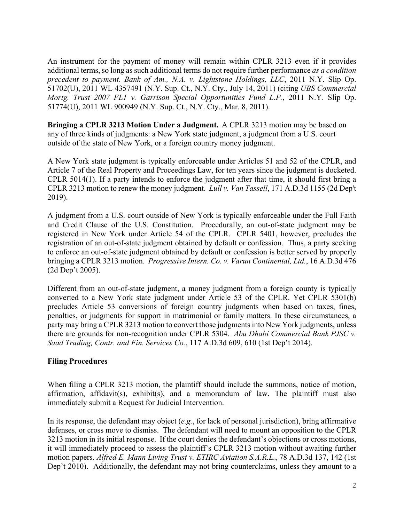An instrument for the payment of money will remain within CPLR 3213 even if it provides additional terms, so long as such additional terms do not require further performance *as a condition precedent to payment*. *Bank of Am., N.A. v. Lightstone Holdings, LLC*, 2011 N.Y. Slip Op. 51702(U), 2011 WL 4357491 (N.Y. Sup. Ct., N.Y. Cty., July 14, 2011) (citing *UBS Commercial Mortg. Trust 2007–FL1 v. Garrison Special Opportunities Fund L.P.*, 2011 N.Y. Slip Op. 51774(U), 2011 WL 900949 (N.Y. Sup. Ct., N.Y. Cty., Mar. 8, 2011).

**Bringing a CPLR 3213 Motion Under a Judgment.** A CPLR 3213 motion may be based on any of three kinds of judgments: a New York state judgment, a judgment from a U.S. court outside of the state of New York, or a foreign country money judgment.

A New York state judgment is typically enforceable under Articles 51 and 52 of the CPLR, and Article 7 of the Real Property and Proceedings Law, for ten years since the judgment is docketed. CPLR 5014(1). If a party intends to enforce the judgment after that time, it should first bring a CPLR 3213 motion to renew the money judgment. *Lull v. Van Tassell*, 171 A.D.3d 1155 (2d Dep't 2019).

A judgment from a U.S. court outside of New York is typically enforceable under the Full Faith and Credit Clause of the U.S. Constitution. Procedurally, an out-of-state judgment may be registered in New York under Article 54 of the CPLR. CPLR 5401, however, precludes the registration of an out-of-state judgment obtained by default or confession. Thus, a party seeking to enforce an out-of-state judgment obtained by default or confession is better served by properly bringing a CPLR 3213 motion. *Progressive Intern. Co. v. Varun Continental, Ltd.*, 16 A.D.3d 476 (2d Dep't 2005).

Different from an out-of-state judgment, a money judgment from a foreign county is typically converted to a New York state judgment under Article 53 of the CPLR. Yet CPLR 5301(b) precludes Article 53 conversions of foreign country judgments when based on taxes, fines, penalties, or judgments for support in matrimonial or family matters. In these circumstances, a party may bring a CPLR 3213 motion to convert those judgments into New York judgments, unless there are grounds for non-recognition under CPLR 5304. *Abu Dhabi Commercial Bank PJSC v. Saad Trading, Contr. and Fin. Services Co.*, 117 A.D.3d 609, 610 (1st Dep't 2014).

### **Filing Procedures**

When filing a CPLR 3213 motion, the plaintiff should include the summons, notice of motion, affirmation, affidavit(s), exhibit(s), and a memorandum of law. The plaintiff must also immediately submit a Request for Judicial Intervention.

In its response, the defendant may object (*e.g.*, for lack of personal jurisdiction), bring affirmative defenses, or cross move to dismiss. The defendant will need to mount an opposition to the CPLR 3213 motion in its initial response. If the court denies the defendant's objections or cross motions, it will immediately proceed to assess the plaintiff's CPLR 3213 motion without awaiting further motion papers. *Alfred E. Mann Living Trust v. ETIRC Aviation S.A.R.L.*, 78 A.D.3d 137, 142 (1st Dep't 2010). Additionally, the defendant may not bring counterclaims, unless they amount to a